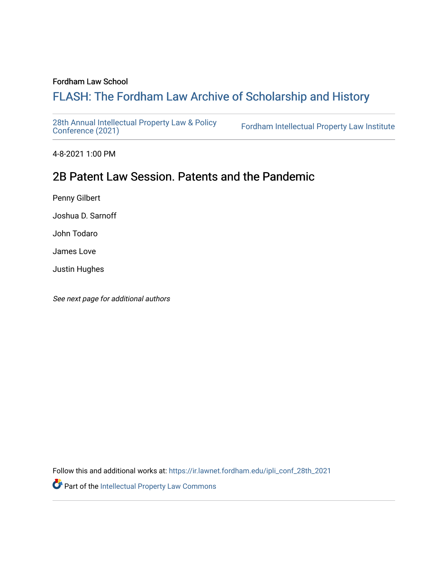#### Fordham Law School

# FLASH: The For[dham Law Archive of Scholarship and Hist](https://ir.lawnet.fordham.edu/)ory

[28th Annual Intellectual Property Law & Policy](https://ir.lawnet.fordham.edu/ipli_conf_28th_2021)<br>Conference (2021)

Fordham Intellectual Property Law Institute

4-8-2021 1:00 PM

# 2B Patent Law Session. Patents and the Pandemic

Penny Gilbert

Joshua D. Sarnoff

John Todaro

James Love

Justin Hughes

See next page for additional authors

Follow this and additional works at: [https://ir.lawnet.fordham.edu/ipli\\_conf\\_28th\\_2021](https://ir.lawnet.fordham.edu/ipli_conf_28th_2021?utm_source=ir.lawnet.fordham.edu%2Fipli_conf_28th_2021%2F5&utm_medium=PDF&utm_campaign=PDFCoverPages) 

Part of the [Intellectual Property Law Commons](http://network.bepress.com/hgg/discipline/896?utm_source=ir.lawnet.fordham.edu%2Fipli_conf_28th_2021%2F5&utm_medium=PDF&utm_campaign=PDFCoverPages)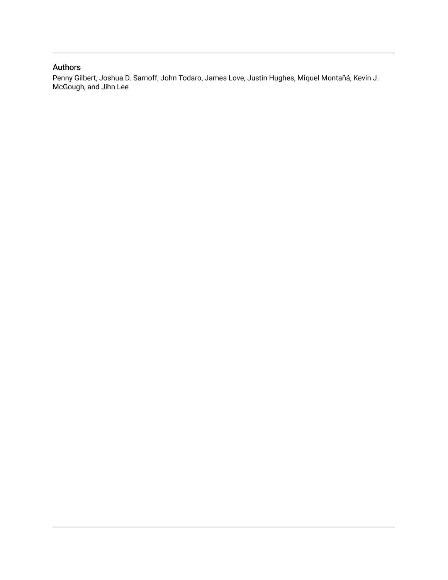### Authors

Penny Gilbert, Joshua D. Sarnoff, John Todaro, James Love, Justin Hughes, Miquel Montañá, Kevin J. McGough, and Jihn Lee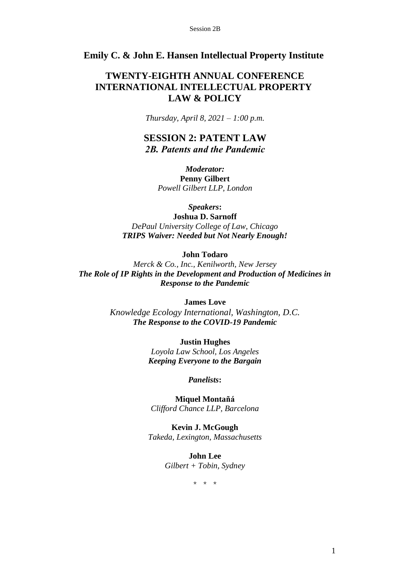### **Emily C. & John E. Hansen Intellectual Property Institute**

## **TWENTY-EIGHTH ANNUAL CONFERENCE INTERNATIONAL INTELLECTUAL PROPERTY LAW & POLICY**

*Thursday, April 8, 2021 – 1:00 p.m.*

**SESSION 2: PATENT LAW** *2B. Patents and the Pandemic*

> *Moderator:* **Penny Gilbert** *Powell Gilbert LLP, London*

> > *Speakers***:**

**Joshua D. Sarnoff**  *DePaul University College of Law, Chicago TRIPS Waiver: Needed but Not Nearly Enough!* 

**John Todaro** 

*Merck & Co., Inc., Kenilworth, New Jersey The Role of IP Rights in the Development and Production of Medicines in Response to the Pandemic*

**James Love**

*Knowledge Ecology International, Washington, D.C. The Response to the COVID-19 Pandemic* 

> **Justin Hughes**  *Loyola Law School, Los Angeles Keeping Everyone to the Bargain*

> > *Panelists***:**

**Miquel Montañá** *Clifford Chance LLP, Barcelona* 

**Kevin J. McGough** *Takeda, Lexington, Massachusetts*

> **John Lee**  *Gilbert + Tobin, Sydney*

> > \* \* \*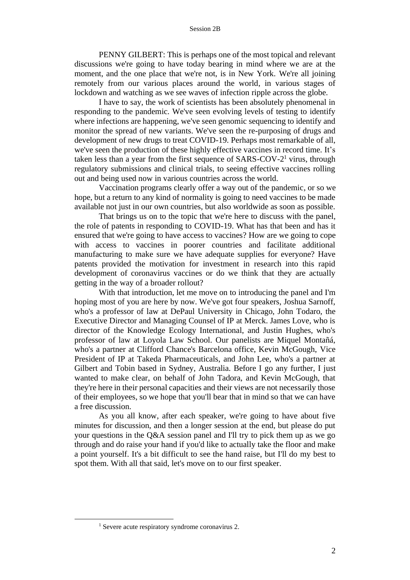PENNY GILBERT: This is perhaps one of the most topical and relevant discussions we're going to have today bearing in mind where we are at the moment, and the one place that we're not, is in New York. We're all joining remotely from our various places around the world, in various stages of lockdown and watching as we see waves of infection ripple across the globe.

I have to say, the work of scientists has been absolutely phenomenal in responding to the pandemic. We've seen evolving levels of testing to identify where infections are happening, we've seen genomic sequencing to identify and monitor the spread of new variants. We've seen the re-purposing of drugs and development of new drugs to treat COVID-19. Perhaps most remarkable of all, we've seen the production of these highly effective vaccines in record time. It's taken less than a year from the first sequence of SARS-COV-2<sup>1</sup> virus, through regulatory submissions and clinical trials, to seeing effective vaccines rolling out and being used now in various countries across the world.

Vaccination programs clearly offer a way out of the pandemic, or so we hope, but a return to any kind of normality is going to need vaccines to be made available not just in our own countries, but also worldwide as soon as possible.

That brings us on to the topic that we're here to discuss with the panel, the role of patents in responding to COVID-19. What has that been and has it ensured that we're going to have access to vaccines? How are we going to cope with access to vaccines in poorer countries and facilitate additional manufacturing to make sure we have adequate supplies for everyone? Have patents provided the motivation for investment in research into this rapid development of coronavirus vaccines or do we think that they are actually getting in the way of a broader rollout?

With that introduction, let me move on to introducing the panel and I'm hoping most of you are here by now. We've got four speakers, Joshua Sarnoff, who's a professor of law at DePaul University in Chicago, John Todaro, the Executive Director and Managing Counsel of IP at Merck. James Love, who is director of the Knowledge Ecology International, and Justin Hughes, who's professor of law at Loyola Law School. Our panelists are Miquel Montañá, who's a partner at Clifford Chance's Barcelona office, Kevin McGough, Vice President of IP at Takeda Pharmaceuticals, and John Lee, who's a partner at Gilbert and Tobin based in Sydney, Australia. Before I go any further, I just wanted to make clear, on behalf of John Tadora, and Kevin McGough, that they're here in their personal capacities and their views are not necessarily those of their employees, so we hope that you'll bear that in mind so that we can have a free discussion.

As you all know, after each speaker, we're going to have about five minutes for discussion, and then a longer session at the end, but please do put your questions in the Q&A session panel and I'll try to pick them up as we go through and do raise your hand if you'd like to actually take the floor and make a point yourself. It's a bit difficult to see the hand raise, but I'll do my best to spot them. With all that said, let's move on to our first speaker.

<sup>&</sup>lt;sup>1</sup> Severe acute respiratory syndrome coronavirus 2.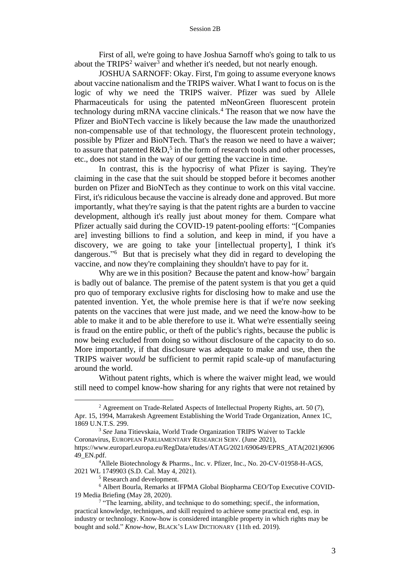First of all, we're going to have Joshua Sarnoff who's going to talk to us about the TRIPS<sup>2</sup> waiver<sup>3</sup> and whether it's needed, but not nearly enough.

JOSHUA SARNOFF: Okay. First, I'm going to assume everyone knows about vaccine nationalism and the TRIPS waiver. What I want to focus on is the logic of why we need the TRIPS waiver. Pfizer was sued by Allele Pharmaceuticals for using the patented mNeonGreen fluorescent protein technology during mRNA vaccine clinicals.<sup>4</sup> The reason that we now have the Pfizer and BioNTech vaccine is likely because the law made the unauthorized non-compensable use of that technology, the fluorescent protein technology, possible by Pfizer and BioNTech. That's the reason we need to have a waiver; to assure that patented  $R&D$ ,<sup>5</sup> in the form of research tools and other processes, etc., does not stand in the way of our getting the vaccine in time.

In contrast, this is the hypocrisy of what Pfizer is saying. They're claiming in the case that the suit should be stopped before it becomes another burden on Pfizer and BioNTech as they continue to work on this vital vaccine. First, it's ridiculous because the vaccine is already done and approved. But more importantly, what they're saying is that the patent rights are a burden to vaccine development, although it's really just about money for them. Compare what Pfizer actually said during the COVID-19 patent-pooling efforts: "[Companies are] investing billions to find a solution, and keep in mind, if you have a discovery, we are going to take your [intellectual property], I think it's dangerous." <sup>6</sup> But that is precisely what they did in regard to developing the vaccine, and now they're complaining they shouldn't have to pay for it.

Why are we in this position? Because the patent and know-how<sup>7</sup> bargain is badly out of balance. The premise of the patent system is that you get a quid pro quo of temporary exclusive rights for disclosing how to make and use the patented invention. Yet, the whole premise here is that if we're now seeking patents on the vaccines that were just made, and we need the know-how to be able to make it and to be able therefore to use it. What we're essentially seeing is fraud on the entire public, or theft of the public's rights, because the public is now being excluded from doing so without disclosure of the capacity to do so. More importantly, if that disclosure was adequate to make and use, then the TRIPS waiver *would* be sufficient to permit rapid scale-up of manufacturing around the world.

Without patent rights, which is where the waiver might lead, we would still need to compel know-how sharing for any rights that were not retained by

<sup>&</sup>lt;sup>2</sup> Agreement on Trade-Related Aspects of Intellectual Property Rights, art. 50  $(7)$ , Apr. 15, 1994, Marrakesh Agreement Establishing the World Trade Organization, Annex 1C, 1869 U.N.T.S. 299.

<sup>3</sup> *See* Jana Titievskaia, World Trade Organization TRIPS Waiver to Tackle Coronavirus, EUROPEAN PARLIAMENTARY RESEARCH SERV. (June 2021), https://www.europarl.europa.eu/RegData/etudes/ATAG/2021/690649/EPRS\_ATA(2021)6906 49\_EN.pdf.

<sup>4</sup>Allele Biotechnology & Pharms., Inc. v. Pfizer, Inc., No. 20-CV-01958-H-AGS, 2021 WL 1749903 (S.D. Cal. May 4, 2021).

<sup>5</sup> Research and development.

<sup>6</sup> Albert Bourla, Remarks at IFPMA Global Biopharma CEO/Top Executive COVID-19 Media Briefing (May 28, 2020).

<sup>&</sup>lt;sup>7</sup> "The learning, ability, and technique to do something; specif., the information, practical knowledge, techniques, and skill required to achieve some practical end, esp. in industry or technology. Know-how is considered intangible property in which rights may be bought and sold." *Know-how*, BLACK'S LAW DICTIONARY (11th ed. 2019).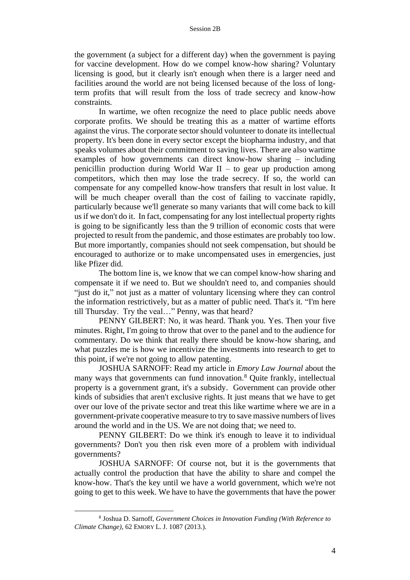the government (a subject for a different day) when the government is paying for vaccine development. How do we compel know-how sharing? Voluntary licensing is good, but it clearly isn't enough when there is a larger need and facilities around the world are not being licensed because of the loss of longterm profits that will result from the loss of trade secrecy and know-how constraints.

In wartime, we often recognize the need to place public needs above corporate profits. We should be treating this as a matter of wartime efforts against the virus. The corporate sector should volunteer to donate its intellectual property. It's been done in every sector except the biopharma industry, and that speaks volumes about their commitment to saving lives. There are also wartime examples of how governments can direct know-how sharing – including penicillin production during World War  $II -$  to gear up production among competitors, which then may lose the trade secrecy. If so, the world can compensate for any compelled know-how transfers that result in lost value. It will be much cheaper overall than the cost of failing to vaccinate rapidly, particularly because we'll generate so many variants that will come back to kill us if we don't do it. In fact, compensating for any lost intellectual property rights is going to be significantly less than the 9 trillion of economic costs that were projected to result from the pandemic, and those estimates are probably too low. But more importantly, companies should not seek compensation, but should be encouraged to authorize or to make uncompensated uses in emergencies, just like Pfizer did.

The bottom line is, we know that we can compel know-how sharing and compensate it if we need to. But we shouldn't need to, and companies should "just do it," not just as a matter of voluntary licensing where they can control the information restrictively, but as a matter of public need. That's it. "I'm here till Thursday. Try the veal…" Penny, was that heard?

PENNY GILBERT: No, it was heard. Thank you. Yes. Then your five minutes. Right, I'm going to throw that over to the panel and to the audience for commentary. Do we think that really there should be know-how sharing, and what puzzles me is how we incentivize the investments into research to get to this point, if we're not going to allow patenting.

JOSHUA SARNOFF: Read my article in *Emory Law Journal* about the many ways that governments can fund innovation.<sup>8</sup> Quite frankly, intellectual property is a government grant, it's a subsidy. Government can provide other kinds of subsidies that aren't exclusive rights. It just means that we have to get over our love of the private sector and treat this like wartime where we are in a government-private cooperative measure to try to save massive numbers of lives around the world and in the US. We are not doing that; we need to.

PENNY GILBERT: Do we think it's enough to leave it to individual governments? Don't you then risk even more of a problem with individual governments?

JOSHUA SARNOFF: Of course not, but it is the governments that actually control the production that have the ability to share and compel the know-how. That's the key until we have a world government, which we're not going to get to this week. We have to have the governments that have the power

<sup>8</sup> Joshua D. Sarnoff, *Government Choices in Innovation Funding (With Reference to Climate Change)*, 62 EMORY L. J. 1087 (2013.).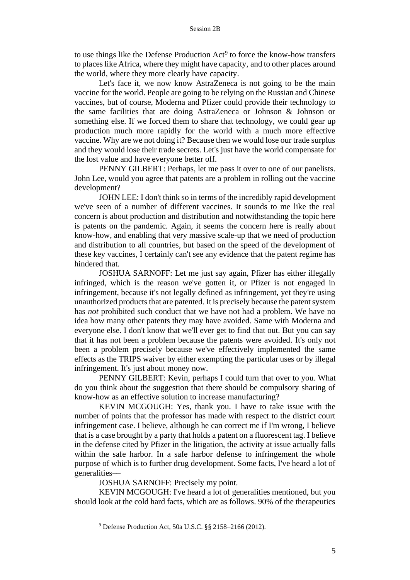to use things like the Defense Production  $Act^9$  to force the know-how transfers to places like Africa, where they might have capacity, and to other places around the world, where they more clearly have capacity.

Let's face it, we now know AstraZeneca is not going to be the main vaccine for the world. People are going to be relying on the Russian and Chinese vaccines, but of course, Moderna and Pfizer could provide their technology to the same facilities that are doing AstraZeneca or Johnson & Johnson or something else. If we forced them to share that technology, we could gear up production much more rapidly for the world with a much more effective vaccine. Why are we not doing it? Because then we would lose our trade surplus and they would lose their trade secrets. Let's just have the world compensate for the lost value and have everyone better off.

PENNY GILBERT: Perhaps, let me pass it over to one of our panelists. John Lee, would you agree that patents are a problem in rolling out the vaccine development?

JOHN LEE: I don't think so in terms of the incredibly rapid development we've seen of a number of different vaccines. It sounds to me like the real concern is about production and distribution and notwithstanding the topic here is patents on the pandemic. Again, it seems the concern here is really about know-how, and enabling that very massive scale-up that we need of production and distribution to all countries, but based on the speed of the development of these key vaccines, I certainly can't see any evidence that the patent regime has hindered that.

JOSHUA SARNOFF: Let me just say again, Pfizer has either illegally infringed, which is the reason we've gotten it, or Pfizer is not engaged in infringement, because it's not legally defined as infringement, yet they're using unauthorized products that are patented. It is precisely because the patent system has *not* prohibited such conduct that we have not had a problem. We have no idea how many other patents they may have avoided. Same with Moderna and everyone else. I don't know that we'll ever get to find that out. But you can say that it has not been a problem because the patents were avoided. It's only not been a problem precisely because we've effectively implemented the same effects as the TRIPS waiver by either exempting the particular uses or by illegal infringement. It's just about money now.

PENNY GILBERT: Kevin, perhaps I could turn that over to you. What do you think about the suggestion that there should be compulsory sharing of know-how as an effective solution to increase manufacturing?

KEVIN MCGOUGH: Yes, thank you. I have to take issue with the number of points that the professor has made with respect to the district court infringement case. I believe, although he can correct me if I'm wrong, I believe that is a case brought by a party that holds a patent on a fluorescent tag. I believe in the defense cited by Pfizer in the litigation, the activity at issue actually falls within the safe harbor. In a safe harbor defense to infringement the whole purpose of which is to further drug development. Some facts, I've heard a lot of generalities––

JOSHUA SARNOFF: Precisely my point.

KEVIN MCGOUGH: I've heard a lot of generalities mentioned, but you should look at the cold hard facts, which are as follows. 90% of the therapeutics

<sup>9</sup> Defense Production Act, 50a U.S.C. §§ 2158–2166 (2012).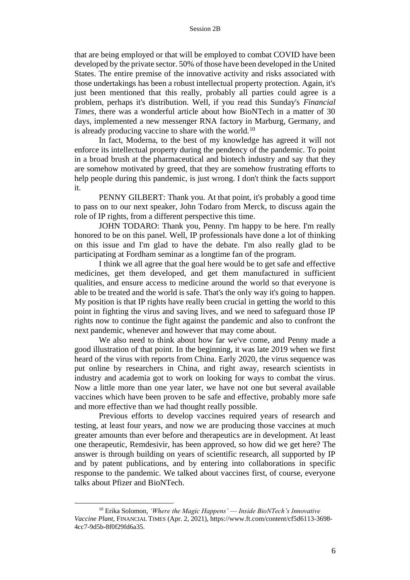that are being employed or that will be employed to combat COVID have been developed by the private sector. 50% of those have been developed in the United States. The entire premise of the innovative activity and risks associated with those undertakings has been a robust intellectual property protection. Again, it's just been mentioned that this really, probably all parties could agree is a problem, perhaps it's distribution. Well, if you read this Sunday's *Financial Times*, there was a wonderful article about how BioNTech in a matter of 30 days, implemented a new messenger RNA factory in Marburg, Germany, and is already producing vaccine to share with the world.<sup>10</sup>

In fact, Moderna, to the best of my knowledge has agreed it will not enforce its intellectual property during the pendency of the pandemic. To point in a broad brush at the pharmaceutical and biotech industry and say that they are somehow motivated by greed, that they are somehow frustrating efforts to help people during this pandemic, is just wrong. I don't think the facts support it.

PENNY GILBERT: Thank you. At that point, it's probably a good time to pass on to our next speaker, John Todaro from Merck, to discuss again the role of IP rights, from a different perspective this time.

JOHN TODARO: Thank you, Penny. I'm happy to be here. I'm really honored to be on this panel. Well, IP professionals have done a lot of thinking on this issue and I'm glad to have the debate. I'm also really glad to be participating at Fordham seminar as a longtime fan of the program.

I think we all agree that the goal here would be to get safe and effective medicines, get them developed, and get them manufactured in sufficient qualities, and ensure access to medicine around the world so that everyone is able to be treated and the world is safe. That's the only way it's going to happen. My position is that IP rights have really been crucial in getting the world to this point in fighting the virus and saving lives, and we need to safeguard those IP rights now to continue the fight against the pandemic and also to confront the next pandemic, whenever and however that may come about.

We also need to think about how far we've come, and Penny made a good illustration of that point. In the beginning, it was late 2019 when we first heard of the virus with reports from China. Early 2020, the virus sequence was put online by researchers in China, and right away, research scientists in industry and academia got to work on looking for ways to combat the virus. Now a little more than one year later, we have not one but several available vaccines which have been proven to be safe and effective, probably more safe and more effective than we had thought really possible.

Previous efforts to develop vaccines required years of research and testing, at least four years, and now we are producing those vaccines at much greater amounts than ever before and therapeutics are in development. At least one therapeutic, Remdesivir, has been approved, so how did we get here? The answer is through building on years of scientific research, all supported by IP and by patent publications, and by entering into collaborations in specific response to the pandemic. We talked about vaccines first, of course, everyone talks about Pfizer and BioNTech.

<sup>10</sup> Erika Solomon, *'Where the Magic Happens' –– Inside BioNTech's Innovative Vaccine Plant*, FINANCIAL TIMES (Apr. 2, 2021), https://www.ft.com/content/cf5d6113-3698- 4cc7-9d5b-8f0f29fd6a35.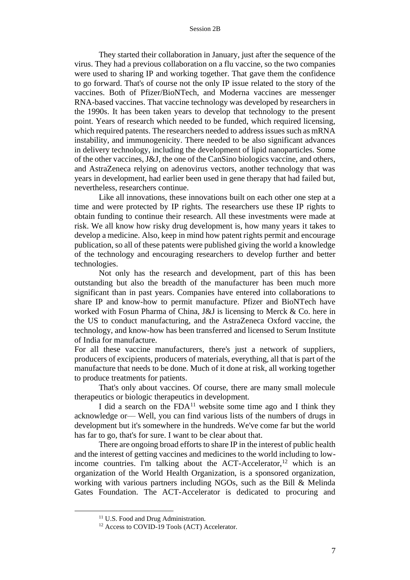They started their collaboration in January, just after the sequence of the virus. They had a previous collaboration on a flu vaccine, so the two companies were used to sharing IP and working together. That gave them the confidence to go forward. That's of course not the only IP issue related to the story of the vaccines. Both of Pfizer/BioNTech, and Moderna vaccines are messenger RNA-based vaccines. That vaccine technology was developed by researchers in the 1990s. It has been taken years to develop that technology to the present point. Years of research which needed to be funded, which required licensing, which required patents. The researchers needed to address issues such as mRNA instability, and immunogenicity. There needed to be also significant advances in delivery technology, including the development of lipid nanoparticles. Some of the other vaccines, J&J, the one of the CanSino biologics vaccine, and others, and AstraZeneca relying on adenovirus vectors, another technology that was years in development, had earlier been used in gene therapy that had failed but, nevertheless, researchers continue.

Like all innovations, these innovations built on each other one step at a time and were protected by IP rights. The researchers use these IP rights to obtain funding to continue their research. All these investments were made at risk. We all know how risky drug development is, how many years it takes to develop a medicine. Also, keep in mind how patent rights permit and encourage publication, so all of these patents were published giving the world a knowledge of the technology and encouraging researchers to develop further and better technologies.

Not only has the research and development, part of this has been outstanding but also the breadth of the manufacturer has been much more significant than in past years. Companies have entered into collaborations to share IP and know-how to permit manufacture. Pfizer and BioNTech have worked with Fosun Pharma of China, J&J is licensing to Merck & Co. here in the US to conduct manufacturing, and the AstraZeneca Oxford vaccine, the technology, and know-how has been transferred and licensed to Serum Institute of India for manufacture.

For all these vaccine manufacturers, there's just a network of suppliers, producers of excipients, producers of materials, everything, all that is part of the manufacture that needs to be done. Much of it done at risk, all working together to produce treatments for patients.

That's only about vaccines. Of course, there are many small molecule therapeutics or biologic therapeutics in development.

I did a search on the FDA<sup>11</sup> website some time ago and I think they acknowledge or–– Well, you can find various lists of the numbers of drugs in development but it's somewhere in the hundreds. We've come far but the world has far to go, that's for sure. I want to be clear about that.

There are ongoing broad efforts to share IP in the interest of public health and the interest of getting vaccines and medicines to the world including to lowincome countries. I'm talking about the ACT-Accelerator, <sup>12</sup> which is an organization of the World Health Organization, is a sponsored organization, working with various partners including NGOs, such as the Bill & Melinda Gates Foundation. The ACT-Accelerator is dedicated to procuring and

<sup>&</sup>lt;sup>11</sup> U.S. Food and Drug Administration.

<sup>&</sup>lt;sup>12</sup> Access to COVID-19 Tools (ACT) Accelerator.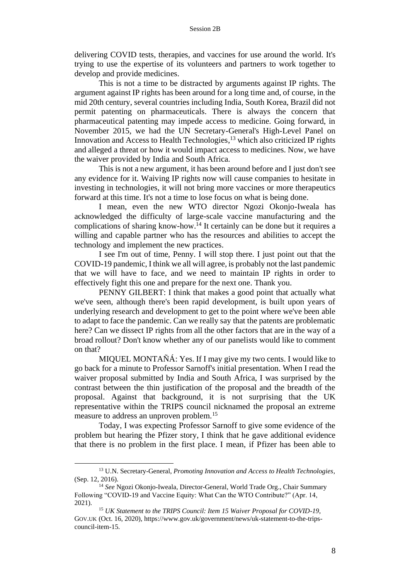delivering COVID tests, therapies, and vaccines for use around the world. It's trying to use the expertise of its volunteers and partners to work together to develop and provide medicines.

This is not a time to be distracted by arguments against IP rights. The argument against IP rights has been around for a long time and, of course, in the mid 20th century, several countries including India, South Korea, Brazil did not permit patenting on pharmaceuticals. There is always the concern that pharmaceutical patenting may impede access to medicine. Going forward, in November 2015, we had the UN Secretary-General's High-Level Panel on Innovation and Access to Health Technologies, <sup>13</sup> which also criticized IP rights and alleged a threat or how it would impact access to medicines. Now, we have the waiver provided by India and South Africa.

This is not a new argument, it has been around before and I just don't see any evidence for it. Waiving IP rights now will cause companies to hesitate in investing in technologies, it will not bring more vaccines or more therapeutics forward at this time. It's not a time to lose focus on what is being done.

I mean, even the new WTO director Ngozi Okonjo-Iweala has acknowledged the difficulty of large-scale vaccine manufacturing and the complications of sharing know-how.<sup>14</sup> It certainly can be done but it requires a willing and capable partner who has the resources and abilities to accept the technology and implement the new practices.

I see I'm out of time, Penny. I will stop there. I just point out that the COVID-19 pandemic, I think we all will agree, is probably not the last pandemic that we will have to face, and we need to maintain IP rights in order to effectively fight this one and prepare for the next one. Thank you.

PENNY GILBERT: I think that makes a good point that actually what we've seen, although there's been rapid development, is built upon years of underlying research and development to get to the point where we've been able to adapt to face the pandemic. Can we really say that the patents are problematic here? Can we dissect IP rights from all the other factors that are in the way of a broad rollout? Don't know whether any of our panelists would like to comment on that?

MIQUEL MONTAÑÁ: Yes. If I may give my two cents. I would like to go back for a minute to Professor Sarnoff's initial presentation. When I read the waiver proposal submitted by India and South Africa, I was surprised by the contrast between the thin justification of the proposal and the breadth of the proposal. Against that background, it is not surprising that the UK representative within the TRIPS council nicknamed the proposal an extreme measure to address an unproven problem.<sup>15</sup>

Today, I was expecting Professor Sarnoff to give some evidence of the problem but hearing the Pfizer story, I think that he gave additional evidence that there is no problem in the first place. I mean, if Pfizer has been able to

<sup>13</sup> U.N. Secretary-General, *Promoting Innovation and Access to Health Technologies*, (Sep. 12, 2016).

<sup>14</sup> *See* Ngozi Okonjo-Iweala, Director-General, World Trade Org., Chair Summary Following "COVID-19 and Vaccine Equity: What Can the WTO Contribute?" (Apr. 14, 2021).

<sup>15</sup> *UK Statement to the TRIPS Council: Item 15 Waiver Proposal for COVID-19*, GOV.UK (Oct. 16, 2020), https://www.gov.uk/government/news/uk-statement-to-the-tripscouncil-item-15.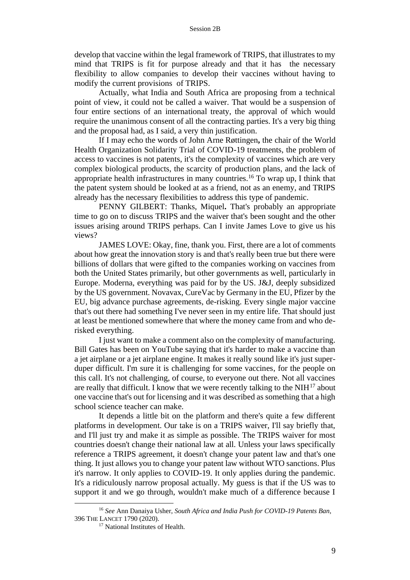develop that vaccine within the legal framework of TRIPS, that illustrates to my mind that TRIPS is fit for purpose already and that it has the necessary flexibility to allow companies to develop their vaccines without having to modify the current provisions of TRIPS.

Actually, what India and South Africa are proposing from a technical point of view, it could not be called a waiver. That would be a suspension of four entire sections of an international treaty, the approval of which would require the unanimous consent of all the contracting parties. It's a very big thing and the proposal had, as I said, a very thin justification.

If I may echo the words of John Arne Røttingen**,** the chair of the World Health Organization Solidarity Trial of COVID-19 treatments, the problem of access to vaccines is not patents, it's the complexity of vaccines which are very complex biological products, the scarcity of production plans, and the lack of appropriate health infrastructures in many countries.<sup>16</sup> To wrap up, I think that the patent system should be looked at as a friend, not as an enemy, and TRIPS already has the necessary flexibilities to address this type of pandemic.

PENNY GILBERT: Thanks, Miquel**.** That's probably an appropriate time to go on to discuss TRIPS and the waiver that's been sought and the other issues arising around TRIPS perhaps. Can I invite James Love to give us his views?

JAMES LOVE: Okay, fine, thank you. First, there are a lot of comments about how great the innovation story is and that's really been true but there were billions of dollars that were gifted to the companies working on vaccines from both the United States primarily, but other governments as well, particularly in Europe. Moderna, everything was paid for by the US. J&J, deeply subsidized by the US government. Novavax, CureVac by Germany in the EU, Pfizer by the EU, big advance purchase agreements, de-risking. Every single major vaccine that's out there had something I've never seen in my entire life. That should just at least be mentioned somewhere that where the money came from and who derisked everything.

I just want to make a comment also on the complexity of manufacturing. Bill Gates has been on YouTube saying that it's harder to make a vaccine than a jet airplane or a jet airplane engine. It makes it really sound like it's just superduper difficult. I'm sure it is challenging for some vaccines, for the people on this call. It's not challenging, of course, to everyone out there. Not all vaccines are really that difficult. I know that we were recently talking to the NIH<sup>17</sup> about one vaccine that's out for licensing and it was described as something that a high school science teacher can make.

It depends a little bit on the platform and there's quite a few different platforms in development. Our take is on a TRIPS waiver, I'll say briefly that, and I'll just try and make it as simple as possible. The TRIPS waiver for most countries doesn't change their national law at all. Unless your laws specifically reference a TRIPS agreement, it doesn't change your patent law and that's one thing. It just allows you to change your patent law without WTO sanctions. Plus it's narrow. It only applies to COVID-19. It only applies during the pandemic. It's a ridiculously narrow proposal actually. My guess is that if the US was to support it and we go through, wouldn't make much of a difference because I

<sup>16</sup> *See* Ann Danaiya Usher, *South Africa and India Push for COVID-19 Patents Ban*, 396 THE LANCET 1790 (2020).

<sup>&</sup>lt;sup>17</sup> National Institutes of Health.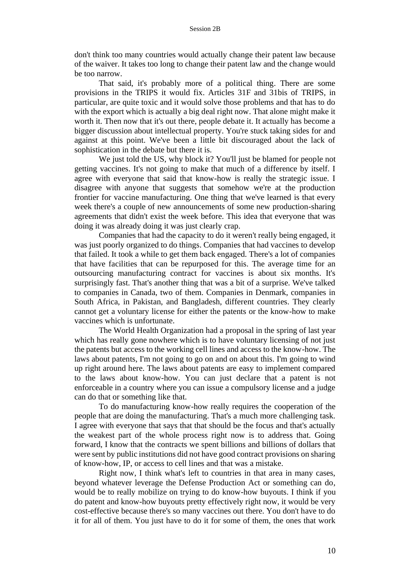don't think too many countries would actually change their patent law because of the waiver. It takes too long to change their patent law and the change would be too narrow.

That said, it's probably more of a political thing. There are some provisions in the TRIPS it would fix. Articles 31F and 31bis of TRIPS, in particular, are quite toxic and it would solve those problems and that has to do with the export which is actually a big deal right now. That alone might make it worth it. Then now that it's out there, people debate it. It actually has become a bigger discussion about intellectual property. You're stuck taking sides for and against at this point. We've been a little bit discouraged about the lack of sophistication in the debate but there it is.

We just told the US, why block it? You'll just be blamed for people not getting vaccines. It's not going to make that much of a difference by itself. I agree with everyone that said that know-how is really the strategic issue. I disagree with anyone that suggests that somehow we're at the production frontier for vaccine manufacturing. One thing that we've learned is that every week there's a couple of new announcements of some new production-sharing agreements that didn't exist the week before. This idea that everyone that was doing it was already doing it was just clearly crap.

Companies that had the capacity to do it weren't really being engaged, it was just poorly organized to do things. Companies that had vaccines to develop that failed. It took a while to get them back engaged. There's a lot of companies that have facilities that can be repurposed for this. The average time for an outsourcing manufacturing contract for vaccines is about six months. It's surprisingly fast. That's another thing that was a bit of a surprise. We've talked to companies in Canada, two of them. Companies in Denmark, companies in South Africa, in Pakistan, and Bangladesh, different countries. They clearly cannot get a voluntary license for either the patents or the know-how to make vaccines which is unfortunate.

The World Health Organization had a proposal in the spring of last year which has really gone nowhere which is to have voluntary licensing of not just the patents but access to the working cell lines and access to the know-how. The laws about patents, I'm not going to go on and on about this. I'm going to wind up right around here. The laws about patents are easy to implement compared to the laws about know-how. You can just declare that a patent is not enforceable in a country where you can issue a compulsory license and a judge can do that or something like that.

To do manufacturing know-how really requires the cooperation of the people that are doing the manufacturing. That's a much more challenging task. I agree with everyone that says that that should be the focus and that's actually the weakest part of the whole process right now is to address that. Going forward, I know that the contracts we spent billions and billions of dollars that were sent by public institutions did not have good contract provisions on sharing of know-how, IP, or access to cell lines and that was a mistake.

Right now, I think what's left to countries in that area in many cases, beyond whatever leverage the Defense Production Act or something can do, would be to really mobilize on trying to do know-how buyouts. I think if you do patent and know-how buyouts pretty effectively right now, it would be very cost-effective because there's so many vaccines out there. You don't have to do it for all of them. You just have to do it for some of them, the ones that work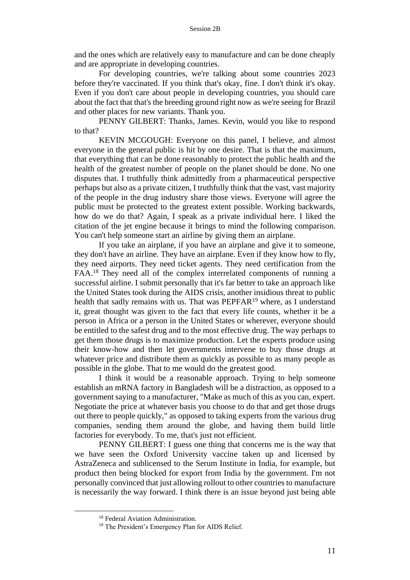and the ones which are relatively easy to manufacture and can be done cheaply and are appropriate in developing countries.

For developing countries, we're talking about some countries 2023 before they're vaccinated. If you think that's okay, fine. I don't think it's okay. Even if you don't care about people in developing countries, you should care about the fact that that's the breeding ground right now as we're seeing for Brazil and other places for new variants. Thank you.

PENNY GILBERT: Thanks, James. Kevin, would you like to respond to that?

KEVIN MCGOUGH: Everyone on this panel, I believe, and almost everyone in the general public is hit by one desire. That is that the maximum, that everything that can be done reasonably to protect the public health and the health of the greatest number of people on the planet should be done. No one disputes that. I truthfully think admittedly from a pharmaceutical perspective perhaps but also as a private citizen, I truthfully think that the vast, vast majority of the people in the drug industry share those views. Everyone will agree the public must be protected to the greatest extent possible. Working backwards, how do we do that? Again, I speak as a private individual here. I liked the citation of the jet engine because it brings to mind the following comparison. You can't help someone start an airline by giving them an airplane.

If you take an airplane, if you have an airplane and give it to someone, they don't have an airline. They have an airplane. Even if they know how to fly, they need airports. They need ticket agents. They need certification from the FAA.<sup>18</sup> They need all of the complex interrelated components of running a successful airline. I submit personally that it's far better to take an approach like the United States took during the AIDS crisis, another insidious threat to public health that sadly remains with us. That was  $PEPFAR<sup>19</sup>$  where, as I understand it, great thought was given to the fact that every life counts, whether it be a person in Africa or a person in the United States or wherever, everyone should be entitled to the safest drug and to the most effective drug. The way perhaps to get them those drugs is to maximize production. Let the experts produce using their know-how and then let governments intervene to buy those drugs at whatever price and distribute them as quickly as possible to as many people as possible in the globe. That to me would do the greatest good.

I think it would be a reasonable approach. Trying to help someone establish an mRNA factory in Bangladesh will be a distraction, as opposed to a government saying to a manufacturer, "Make as much of this as you can, expert. Negotiate the price at whatever basis you choose to do that and get those drugs out there to people quickly," as opposed to taking experts from the various drug companies, sending them around the globe, and having them build little factories for everybody. To me, that's just not efficient.

PENNY GILBERT: I guess one thing that concerns me is the way that we have seen the Oxford University vaccine taken up and licensed by AstraZeneca and sublicensed to the Serum Institute in India, for example, but product then being blocked for export from India by the government. I'm not personally convinced that just allowing rollout to other countries to manufacture is necessarily the way forward. I think there is an issue beyond just being able

<sup>&</sup>lt;sup>18</sup> Federal Aviation Administration.

<sup>&</sup>lt;sup>19</sup> The President's Emergency Plan for AIDS Relief.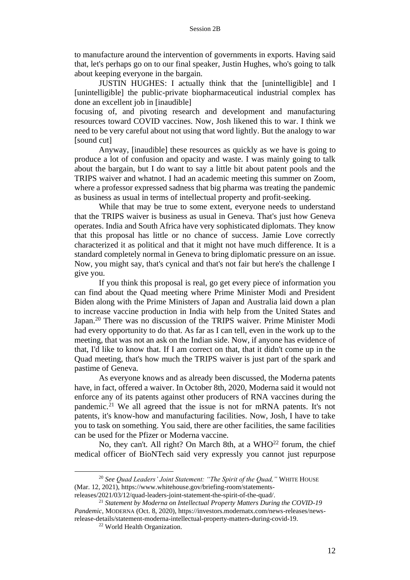to manufacture around the intervention of governments in exports. Having said that, let's perhaps go on to our final speaker, Justin Hughes, who's going to talk about keeping everyone in the bargain.

JUSTIN HUGHES: I actually think that the [unintelligible] and I [unintelligible] the public-private biopharmaceutical industrial complex has done an excellent job in [inaudible]

focusing of, and pivoting research and development and manufacturing resources toward COVID vaccines. Now, Josh likened this to war. I think we need to be very careful about not using that word lightly. But the analogy to war [sound cut]

Anyway, [inaudible] these resources as quickly as we have is going to produce a lot of confusion and opacity and waste. I was mainly going to talk about the bargain, but I do want to say a little bit about patent pools and the TRIPS waiver and whatnot. I had an academic meeting this summer on Zoom, where a professor expressed sadness that big pharma was treating the pandemic as business as usual in terms of intellectual property and profit-seeking.

While that may be true to some extent, everyone needs to understand that the TRIPS waiver is business as usual in Geneva. That's just how Geneva operates. India and South Africa have very sophisticated diplomats. They know that this proposal has little or no chance of success. Jamie Love correctly characterized it as political and that it might not have much difference. It is a standard completely normal in Geneva to bring diplomatic pressure on an issue. Now, you might say, that's cynical and that's not fair but here's the challenge I give you.

If you think this proposal is real, go get every piece of information you can find about the Quad meeting where Prime Minister Modi and President Biden along with the Prime Ministers of Japan and Australia laid down a plan to increase vaccine production in India with help from the United States and Japan.<sup>20</sup> There was no discussion of the TRIPS waiver. Prime Minister Modi had every opportunity to do that. As far as I can tell, even in the work up to the meeting, that was not an ask on the Indian side. Now, if anyone has evidence of that, I'd like to know that. If I am correct on that, that it didn't come up in the Quad meeting, that's how much the TRIPS waiver is just part of the spark and pastime of Geneva.

As everyone knows and as already been discussed, the Moderna patents have, in fact, offered a waiver. In October 8th, 2020, Moderna said it would not enforce any of its patents against other producers of RNA vaccines during the pandemic.<sup>21</sup> We all agreed that the issue is not for mRNA patents. It's not patents, it's know-how and manufacturing facilities. Now, Josh, I have to take you to task on something. You said, there are other facilities, the same facilities can be used for the Pfizer or Moderna vaccine.

No, they can't. All right? On March 8th, at a WHO<sup>22</sup> forum, the chief medical officer of BioNTech said very expressly you cannot just repurpose

<sup>&</sup>lt;sup>20</sup> See Quad Leaders' Joint Statement: "The Spirit of the Quad," WHITE HOUSE (Mar. 12, 2021), https://www.whitehouse.gov/briefing-room/statementsreleases/2021/03/12/quad-leaders-joint-statement-the-spirit-of-the-quad/.

<sup>21</sup> *Statement by Moderna on Intellectual Property Matters During the COVID-19 Pandemic*, MODERNA (Oct. 8, 2020), https://investors.modernatx.com/news-releases/newsrelease-details/statement-moderna-intellectual-property-matters-during-covid-19.

<sup>22</sup> World Health Organization.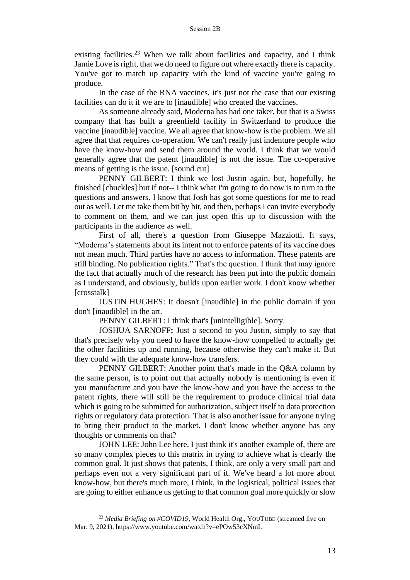existing facilities.<sup>23</sup> When we talk about facilities and capacity, and I think Jamie Love is right, that we do need to figure out where exactly there is capacity. You've got to match up capacity with the kind of vaccine you're going to produce.

In the case of the RNA vaccines, it's just not the case that our existing facilities can do it if we are to [inaudible] who created the vaccines.

As someone already said, Moderna has had one taker, but that is a Swiss company that has built a greenfield facility in Switzerland to produce the vaccine [inaudible] vaccine. We all agree that know-how is the problem. We all agree that that requires co-operation. We can't really just indenture people who have the know-how and send them around the world. I think that we would generally agree that the patent [inaudible] is not the issue. The co-operative means of getting is the issue. [sound cut]

PENNY GILBERT: I think we lost Justin again, but, hopefully, he finished [chuckles] but if not-- I think what I'm going to do now is to turn to the questions and answers. I know that Josh has got some questions for me to read out as well. Let me take them bit by bit, and then, perhaps I can invite everybody to comment on them, and we can just open this up to discussion with the participants in the audience as well.

First of all, there's a question from Giuseppe Mazziotti. It says, "Moderna's statements about its intent not to enforce patents of its vaccine does not mean much. Third parties have no access to information. These patents are still binding. No publication rights." That's the question. I think that may ignore the fact that actually much of the research has been put into the public domain as I understand, and obviously, builds upon earlier work. I don't know whether [crosstalk]

JUSTIN HUGHES: It doesn't [inaudible] in the public domain if you don't [inaudible] in the art.

PENNY GILBERT: I think that's [unintelligible]. Sorry.

JOSHUA SARNOFF**:** Just a second to you Justin, simply to say that that's precisely why you need to have the know-how compelled to actually get the other facilities up and running, because otherwise they can't make it. But they could with the adequate know-how transfers.

PENNY GILBERT: Another point that's made in the Q&A column by the same person, is to point out that actually nobody is mentioning is even if you manufacture and you have the know-how and you have the access to the patent rights, there will still be the requirement to produce clinical trial data which is going to be submitted for authorization, subject itself to data protection rights or regulatory data protection. That is also another issue for anyone trying to bring their product to the market. I don't know whether anyone has any thoughts or comments on that?

JOHN LEE: John Lee here. I just think it's another example of, there are so many complex pieces to this matrix in trying to achieve what is clearly the common goal. It just shows that patents, I think, are only a very small part and perhaps even not a very significant part of it. We've heard a lot more about know-how, but there's much more, I think, in the logistical, political issues that are going to either enhance us getting to that common goal more quickly or slow

<sup>&</sup>lt;sup>23</sup> *Media Briefing on #COVID19*, World Health Org., YOUTUBE (streamed live on Mar. 9, 2021), https://www.youtube.com/watch?v=ePOw53cXNmI.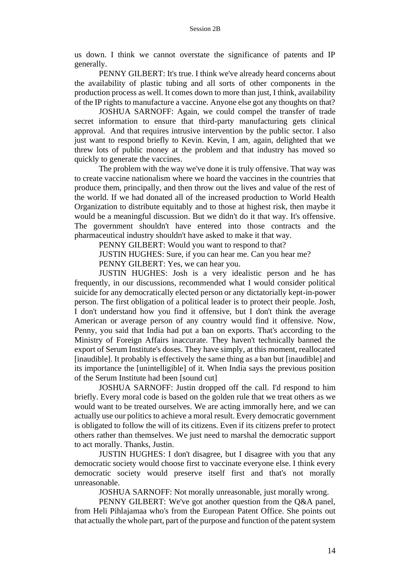us down. I think we cannot overstate the significance of patents and IP generally.

PENNY GILBERT: It's true. I think we've already heard concerns about the availability of plastic tubing and all sorts of other components in the production process as well. It comes down to more than just, I think, availability of the IP rights to manufacture a vaccine. Anyone else got any thoughts on that?

JOSHUA SARNOFF: Again, we could compel the transfer of trade secret information to ensure that third-party manufacturing gets clinical approval. And that requires intrusive intervention by the public sector. I also just want to respond briefly to Kevin. Kevin, I am, again, delighted that we threw lots of public money at the problem and that industry has moved so quickly to generate the vaccines.

The problem with the way we've done it is truly offensive. That way was to create vaccine nationalism where we hoard the vaccines in the countries that produce them, principally, and then throw out the lives and value of the rest of the world. If we had donated all of the increased production to World Health Organization to distribute equitably and to those at highest risk, then maybe it would be a meaningful discussion. But we didn't do it that way. It's offensive. The government shouldn't have entered into those contracts and the pharmaceutical industry shouldn't have asked to make it that way.

PENNY GILBERT: Would you want to respond to that?

JUSTIN HUGHES: Sure, if you can hear me. Can you hear me?

PENNY GILBERT: Yes, we can hear you.

JUSTIN HUGHES: Josh is a very idealistic person and he has frequently, in our discussions, recommended what I would consider political suicide for any democratically elected person or any dictatorially kept-in-power person. The first obligation of a political leader is to protect their people. Josh, I don't understand how you find it offensive, but I don't think the average American or average person of any country would find it offensive. Now, Penny, you said that India had put a ban on exports. That's according to the Ministry of Foreign Affairs inaccurate. They haven't technically banned the export of Serum Institute's doses. They have simply, at this moment, reallocated [inaudible]. It probably is effectively the same thing as a ban but [inaudible] and its importance the [unintelligible] of it. When India says the previous position of the Serum Institute had been [sound cut]

JOSHUA SARNOFF: Justin dropped off the call. I'd respond to him briefly. Every moral code is based on the golden rule that we treat others as we would want to be treated ourselves. We are acting immorally here, and we can actually use our politics to achieve a moral result. Every democratic government is obligated to follow the will of its citizens. Even if its citizens prefer to protect others rather than themselves. We just need to marshal the democratic support to act morally. Thanks, Justin.

JUSTIN HUGHES: I don't disagree, but I disagree with you that any democratic society would choose first to vaccinate everyone else. I think every democratic society would preserve itself first and that's not morally unreasonable.

JOSHUA SARNOFF: Not morally unreasonable, just morally wrong.

PENNY GILBERT: We've got another question from the Q&A panel, from Heli Pihlajamaa who's from the European Patent Office. She points out that actually the whole part, part of the purpose and function of the patent system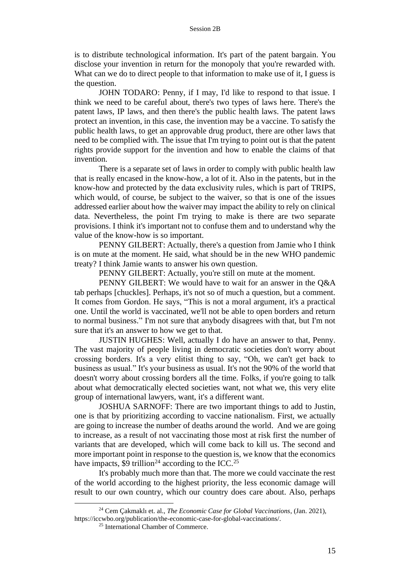is to distribute technological information. It's part of the patent bargain. You disclose your invention in return for the monopoly that you're rewarded with. What can we do to direct people to that information to make use of it, I guess is the question.

JOHN TODARO: Penny, if I may, I'd like to respond to that issue. I think we need to be careful about, there's two types of laws here. There's the patent laws, IP laws, and then there's the public health laws. The patent laws protect an invention, in this case, the invention may be a vaccine. To satisfy the public health laws, to get an approvable drug product, there are other laws that need to be complied with. The issue that I'm trying to point out is that the patent rights provide support for the invention and how to enable the claims of that invention.

There is a separate set of laws in order to comply with public health law that is really encased in the know-how, a lot of it. Also in the patents, but in the know-how and protected by the data exclusivity rules, which is part of TRIPS, which would, of course, be subject to the waiver, so that is one of the issues addressed earlier about how the waiver may impact the ability to rely on clinical data. Nevertheless, the point I'm trying to make is there are two separate provisions. I think it's important not to confuse them and to understand why the value of the know-how is so important.

PENNY GILBERT: Actually, there's a question from Jamie who I think is on mute at the moment. He said, what should be in the new WHO pandemic treaty? I think Jamie wants to answer his own question.

PENNY GILBERT: Actually, you're still on mute at the moment.

PENNY GILBERT: We would have to wait for an answer in the Q&A tab perhaps [chuckles]. Perhaps, it's not so of much a question, but a comment. It comes from Gordon. He says, "This is not a moral argument, it's a practical one. Until the world is vaccinated, we'll not be able to open borders and return to normal business." I'm not sure that anybody disagrees with that, but I'm not sure that it's an answer to how we get to that.

JUSTIN HUGHES: Well, actually I do have an answer to that, Penny. The vast majority of people living in democratic societies don't worry about crossing borders. It's a very elitist thing to say, "Oh, we can't get back to business as usual." It's your business as usual. It's not the 90% of the world that doesn't worry about crossing borders all the time. Folks, if you're going to talk about what democratically elected societies want, not what we, this very elite group of international lawyers, want, it's a different want.

JOSHUA SARNOFF: There are two important things to add to Justin, one is that by prioritizing according to vaccine nationalism. First, we actually are going to increase the number of deaths around the world. And we are going to increase, as a result of not vaccinating those most at risk first the number of variants that are developed, which will come back to kill us. The second and more important point in response to the question is, we know that the economics have impacts, \$9 trillion<sup>24</sup> according to the ICC.<sup>25</sup>

It's probably much more than that. The more we could vaccinate the rest of the world according to the highest priority, the less economic damage will result to our own country, which our country does care about. Also, perhaps

<sup>24</sup> Cem Çakmaklı et. al., *The Economic Case for Global Vaccinations*, (Jan. 2021), https://iccwbo.org/publication/the-economic-case-for-global-vaccinations/.

<sup>25</sup> International Chamber of Commerce.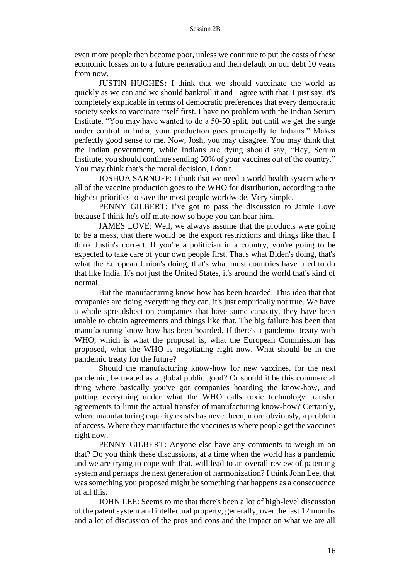even more people then become poor, unless we continue to put the costs of these economic losses on to a future generation and then default on our debt 10 years from now.

JUSTIN HUGHES**:** I think that we should vaccinate the world as quickly as we can and we should bankroll it and I agree with that. I just say, it's completely explicable in terms of democratic preferences that every democratic society seeks to vaccinate itself first. I have no problem with the Indian Serum Institute. "You may have wanted to do a 50-50 split, but until we get the surge under control in India, your production goes principally to Indians." Makes perfectly good sense to me. Now, Josh, you may disagree. You may think that the Indian government, while Indians are dying should say, "Hey, Serum Institute, you should continue sending 50% of your vaccines out of the country." You may think that's the moral decision, I don't.

JOSHUA SARNOFF: I think that we need a world health system where all of the vaccine production goes to the WHO for distribution, according to the highest priorities to save the most people worldwide. Very simple.

PENNY GILBERT: I've got to pass the discussion to Jamie Love because I think he's off mute now so hope you can hear him.

JAMES LOVE: Well, we always assume that the products were going to be a mess, that there would be the export restrictions and things like that. I think Justin's correct. If you're a politician in a country, you're going to be expected to take care of your own people first. That's what Biden's doing, that's what the European Union's doing, that's what most countries have tried to do that like India. It's not just the United States, it's around the world that's kind of normal.

But the manufacturing know-how has been hoarded. This idea that that companies are doing everything they can, it's just empirically not true. We have a whole spreadsheet on companies that have some capacity, they have been unable to obtain agreements and things like that. The big failure has been that manufacturing know-how has been hoarded. If there's a pandemic treaty with WHO, which is what the proposal is, what the European Commission has proposed, what the WHO is negotiating right now. What should be in the pandemic treaty for the future?

Should the manufacturing know-how for new vaccines, for the next pandemic, be treated as a global public good? Or should it be this commercial thing where basically you've got companies hoarding the know-how, and putting everything under what the WHO calls toxic technology transfer agreements to limit the actual transfer of manufacturing know-how? Certainly, where manufacturing capacity exists has never been, more obviously, a problem of access. Where they manufacture the vaccines is where people get the vaccines right now.

PENNY GILBERT: Anyone else have any comments to weigh in on that? Do you think these discussions, at a time when the world has a pandemic and we are trying to cope with that, will lead to an overall review of patenting system and perhaps the next generation of harmonization? I think John Lee, that was something you proposed might be something that happens as a consequence of all this.

JOHN LEE: Seems to me that there's been a lot of high-level discussion of the patent system and intellectual property, generally, over the last 12 months and a lot of discussion of the pros and cons and the impact on what we are all